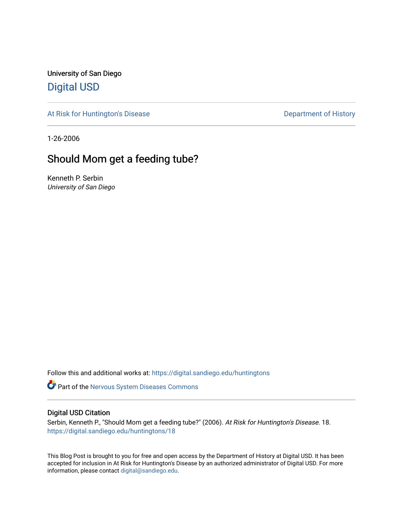University of San Diego [Digital USD](https://digital.sandiego.edu/)

[At Risk for Huntington's Disease](https://digital.sandiego.edu/huntingtons) **Department of History** Department of History

1-26-2006

# Should Mom get a feeding tube?

Kenneth P. Serbin University of San Diego

Follow this and additional works at: [https://digital.sandiego.edu/huntingtons](https://digital.sandiego.edu/huntingtons?utm_source=digital.sandiego.edu%2Fhuntingtons%2F18&utm_medium=PDF&utm_campaign=PDFCoverPages)

**Part of the [Nervous System Diseases Commons](http://network.bepress.com/hgg/discipline/928?utm_source=digital.sandiego.edu%2Fhuntingtons%2F18&utm_medium=PDF&utm_campaign=PDFCoverPages)** 

### Digital USD Citation

Serbin, Kenneth P., "Should Mom get a feeding tube?" (2006). At Risk for Huntington's Disease. 18. [https://digital.sandiego.edu/huntingtons/18](https://digital.sandiego.edu/huntingtons/18?utm_source=digital.sandiego.edu%2Fhuntingtons%2F18&utm_medium=PDF&utm_campaign=PDFCoverPages)

This Blog Post is brought to you for free and open access by the Department of History at Digital USD. It has been accepted for inclusion in At Risk for Huntington's Disease by an authorized administrator of Digital USD. For more information, please contact [digital@sandiego.edu.](mailto:digital@sandiego.edu)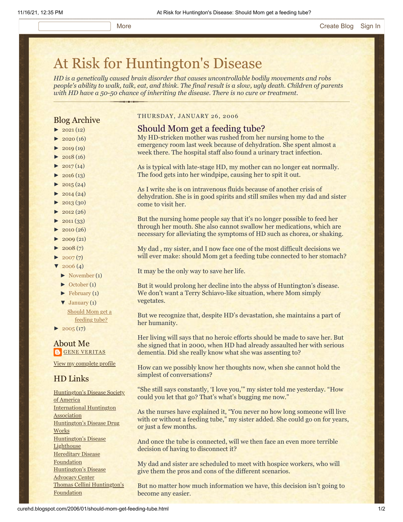# [At Risk for Huntington's Disease](http://curehd.blogspot.com/)

*HD is a genetically caused brain disorder that causes uncontrollable bodily movements and robs people's ability to walk, talk, eat, and think. The final result is a slow, ugly death. Children of parents with HD have a 50-50 chance of inheriting the disease. There is no cure or treatment.*

## Blog Archive

- $\blacktriangleright$  [2021](http://curehd.blogspot.com/2021/) (12)
- $\blacktriangleright$  [2020](http://curehd.blogspot.com/2020/) (16)
- $\blacktriangleright$  [2019](http://curehd.blogspot.com/2019/) (19)
- $\blacktriangleright$  [2018](http://curehd.blogspot.com/2018/) (16)
- $2017(14)$  $2017(14)$
- $\cdot$  [2016](http://curehd.blogspot.com/2016/) (13)
- $\blacktriangleright$  [2015](http://curehd.blogspot.com/2015/) (24)
- $\blacktriangleright$  [2014](http://curehd.blogspot.com/2014/) (24)
- $\blacktriangleright$  [2013](http://curehd.blogspot.com/2013/) (30)
- $\blacktriangleright$  [2012](http://curehd.blogspot.com/2012/) (26)
- $\blacktriangleright$  [2011](http://curehd.blogspot.com/2011/) (33)
- $\blacktriangleright$  [2010](http://curehd.blogspot.com/2010/) (26)
- $\blacktriangleright$  [2009](http://curehd.blogspot.com/2009/) (21)
- $\blacktriangleright$  [2008](http://curehd.blogspot.com/2008/) $(7)$
- $\blacktriangleright$  [2007](http://curehd.blogspot.com/2007/) $(7)$
- $\sqrt{2006} (4)$  $\sqrt{2006} (4)$  $\sqrt{2006} (4)$ 
	- [►](javascript:void(0)) [November](http://curehd.blogspot.com/2006/11/) (1)
	- [►](javascript:void(0)) [October](http://curehd.blogspot.com/2006/10/) (1)
	- $\blacktriangleright$  [February](http://curehd.blogspot.com/2006/02/) (1)
	- $\blacktriangledown$  [January](http://curehd.blogspot.com/2006/01/)  $(1)$ Should Mom get a [feeding](http://curehd.blogspot.com/2006/01/should-mom-get-feeding-tube.html) tube?
- $\blacktriangleright$  [2005](http://curehd.blogspot.com/2005/) (17)

#### About Me **GENE [VERITAS](https://www.blogger.com/profile/10911736205741688185)**

View my [complete](https://www.blogger.com/profile/10911736205741688185) profile

# HD Links

[Huntington's](http://www.hdsa.org/) Disease Society of America [International](http://www.huntington-assoc.com/) Huntington **Association** [Huntington's](http://hddrugworks.org/) Disease Drug **Works** [Huntington's](http://www.hdlighthouse.org/) Disease Lighthouse **[Hereditary](http://www.hdfoundation.org/) Disease Foundation** [Huntington's](http://www.hdac.org/) Disease Advocacy Center Thomas [Cellini Huntington's](http://www.ourtchfoundation.org/) **Foundation** 

#### THURSDAY, JANUARY 26, 2006

- Should Mom get a feeding tube? My HD-stricken mother was rushed from her nursing home to the emergency room last week because of dehydration. She spent almost a
- week there. The hospital staff also found a urinary tract infection.
- As is typical with late-stage HD, my mother can no longer eat normally. The food gets into her windpipe, causing her to spit it out.

As I write she is on intravenous fluids because of another crisis of dehydration. She is in good spirits and still smiles when my dad and sister come to visit her.

But the nursing home people say that it's no longer possible to feed her through her mouth. She also cannot swallow her medications, which are necessary for alleviating the symptoms of HD such as chorea, or shaking.

My dad , my sister, and I now face one of the most difficult decisions we will ever make: should Mom get a feeding tube connected to her stomach?

It may be the only way to save her life.

But it would prolong her decline into the abyss of Huntington's disease. We don't want a Terry Schiavo-like situation, where Mom simply vegetates.

But we recognize that, despite HD's devastation, she maintains a part of her humanity.

Her living will says that no heroic efforts should be made to save her. But she signed that in 2000, when HD had already assaulted her with serious dementia. Did she really know what she was assenting to?

How can we possibly know her thoughts now, when she cannot hold the simplest of conversations?

"She still says constantly, 'I love you,'" my sister told me yesterday. "How could you let that go? That's what's bugging me now."

As the nurses have explained it, "You never no how long someone will live with or without a feeding tube," my sister added. She could go on for years, or just a few months.

And once the tube is connected, will we then face an even more terrible decision of having to disconnect it?

My dad and sister are scheduled to meet with hospice workers, who will give them the pros and cons of the different scenarios.

But no matter how much information we have, this decision isn't going to become any easier.